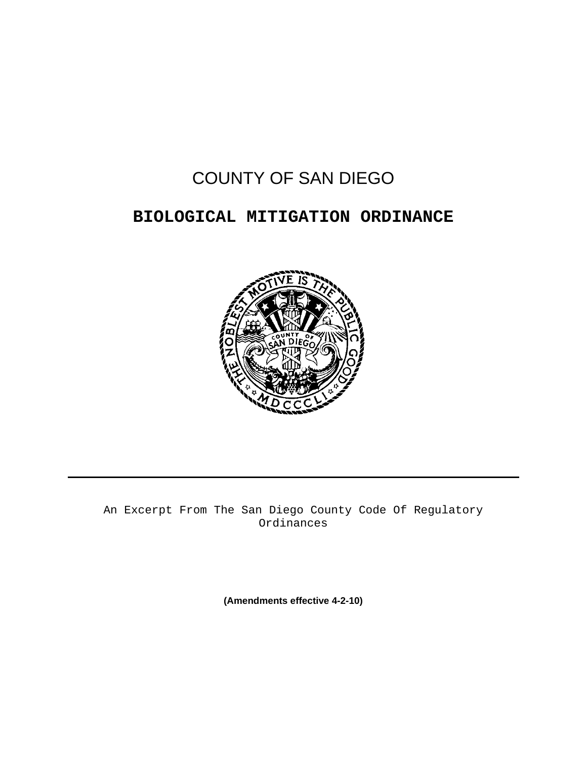# COUNTY OF SAN DIEGO

# **BIOLOGICAL MITIGATION ORDINANCE**



An Excerpt From The San Diego County Code Of Regulatory Ordinances

**(Amendments effective 4-2-10)**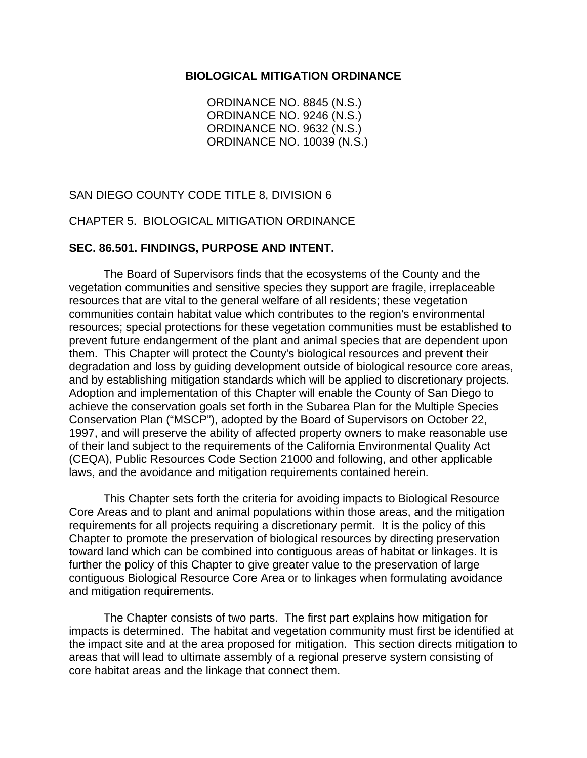#### **BIOLOGICAL MITIGATION ORDINANCE**

ORDINANCE NO. 8845 (N.S.) ORDINANCE NO. 9246 (N.S.) ORDINANCE NO. 9632 (N.S.) ORDINANCE NO. 10039 (N.S.)

SAN DIEGO COUNTY CODE TITLE 8, DIVISION 6

CHAPTER 5. BIOLOGICAL MITIGATION ORDINANCE

#### **SEC. 86.501. FINDINGS, PURPOSE AND INTENT.**

 The Board of Supervisors finds that the ecosystems of the County and the vegetation communities and sensitive species they support are fragile, irreplaceable resources that are vital to the general welfare of all residents; these vegetation communities contain habitat value which contributes to the region's environmental resources; special protections for these vegetation communities must be established to prevent future endangerment of the plant and animal species that are dependent upon them. This Chapter will protect the County's biological resources and prevent their degradation and loss by guiding development outside of biological resource core areas, and by establishing mitigation standards which will be applied to discretionary projects. Adoption and implementation of this Chapter will enable the County of San Diego to achieve the conservation goals set forth in the Subarea Plan for the Multiple Species Conservation Plan ("MSCP"), adopted by the Board of Supervisors on October 22, 1997, and will preserve the ability of affected property owners to make reasonable use of their land subject to the requirements of the California Environmental Quality Act (CEQA), Public Resources Code Section 21000 and following, and other applicable laws, and the avoidance and mitigation requirements contained herein.

 This Chapter sets forth the criteria for avoiding impacts to Biological Resource Core Areas and to plant and animal populations within those areas, and the mitigation requirements for all projects requiring a discretionary permit. It is the policy of this Chapter to promote the preservation of biological resources by directing preservation toward land which can be combined into contiguous areas of habitat or linkages. It is further the policy of this Chapter to give greater value to the preservation of large contiguous Biological Resource Core Area or to linkages when formulating avoidance and mitigation requirements.

 The Chapter consists of two parts. The first part explains how mitigation for impacts is determined. The habitat and vegetation community must first be identified at the impact site and at the area proposed for mitigation. This section directs mitigation to areas that will lead to ultimate assembly of a regional preserve system consisting of core habitat areas and the linkage that connect them.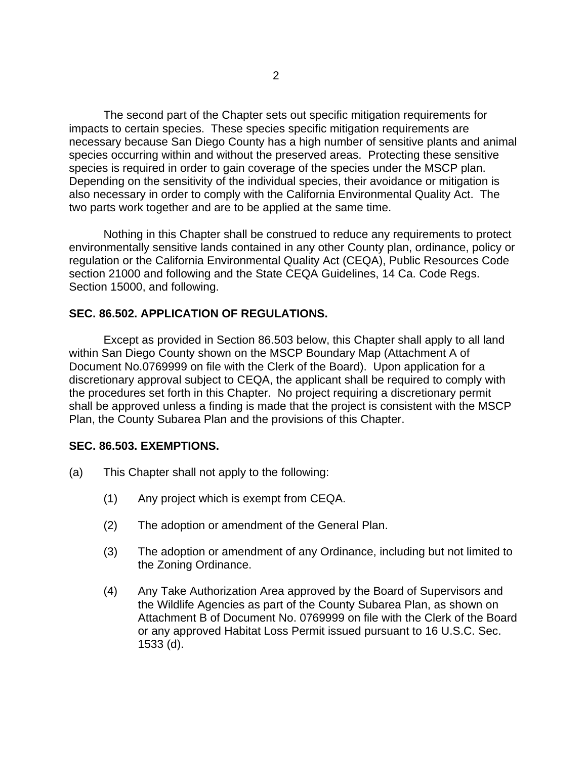The second part of the Chapter sets out specific mitigation requirements for impacts to certain species. These species specific mitigation requirements are necessary because San Diego County has a high number of sensitive plants and animal species occurring within and without the preserved areas. Protecting these sensitive species is required in order to gain coverage of the species under the MSCP plan. Depending on the sensitivity of the individual species, their avoidance or mitigation is also necessary in order to comply with the California Environmental Quality Act. The two parts work together and are to be applied at the same time.

 Nothing in this Chapter shall be construed to reduce any requirements to protect environmentally sensitive lands contained in any other County plan, ordinance, policy or regulation or the California Environmental Quality Act (CEQA), Public Resources Code section 21000 and following and the State CEQA Guidelines, 14 Ca. Code Regs. Section 15000, and following.

#### **SEC. 86.502. APPLICATION OF REGULATIONS.**

 Except as provided in Section 86.503 below, this Chapter shall apply to all land within San Diego County shown on the MSCP Boundary Map (Attachment A of Document No.0769999 on file with the Clerk of the Board). Upon application for a discretionary approval subject to CEQA, the applicant shall be required to comply with the procedures set forth in this Chapter. No project requiring a discretionary permit shall be approved unless a finding is made that the project is consistent with the MSCP Plan, the County Subarea Plan and the provisions of this Chapter.

#### **SEC. 86.503. EXEMPTIONS.**

- (a) This Chapter shall not apply to the following:
	- (1) Any project which is exempt from CEQA.
	- (2) The adoption or amendment of the General Plan.
	- (3) The adoption or amendment of any Ordinance, including but not limited to the Zoning Ordinance.
	- (4) Any Take Authorization Area approved by the Board of Supervisors and the Wildlife Agencies as part of the County Subarea Plan, as shown on Attachment B of Document No. 0769999 on file with the Clerk of the Board or any approved Habitat Loss Permit issued pursuant to 16 U.S.C. Sec. 1533 (d).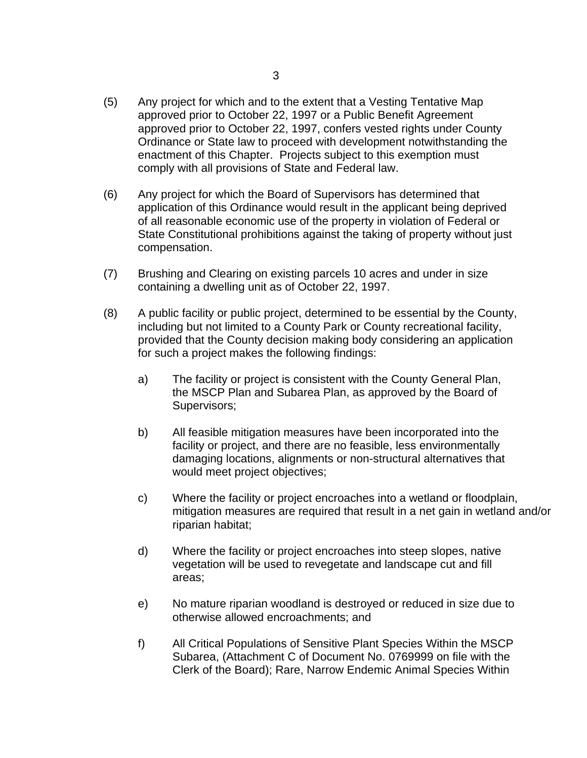- (5) Any project for which and to the extent that a Vesting Tentative Map approved prior to October 22, 1997 or a Public Benefit Agreement approved prior to October 22, 1997, confers vested rights under County Ordinance or State law to proceed with development notwithstanding the enactment of this Chapter. Projects subject to this exemption must comply with all provisions of State and Federal law.
- (6) Any project for which the Board of Supervisors has determined that application of this Ordinance would result in the applicant being deprived of all reasonable economic use of the property in violation of Federal or State Constitutional prohibitions against the taking of property without just compensation.
- (7) Brushing and Clearing on existing parcels 10 acres and under in size containing a dwelling unit as of October 22, 1997.
- (8) A public facility or public project, determined to be essential by the County, including but not limited to a County Park or County recreational facility, provided that the County decision making body considering an application for such a project makes the following findings:
	- a) The facility or project is consistent with the County General Plan, the MSCP Plan and Subarea Plan, as approved by the Board of Supervisors;
	- b) All feasible mitigation measures have been incorporated into the facility or project, and there are no feasible, less environmentally damaging locations, alignments or non-structural alternatives that would meet project objectives;
	- c) Where the facility or project encroaches into a wetland or floodplain, mitigation measures are required that result in a net gain in wetland and/or riparian habitat;
	- d) Where the facility or project encroaches into steep slopes, native vegetation will be used to revegetate and landscape cut and fill areas;
	- e) No mature riparian woodland is destroyed or reduced in size due to otherwise allowed encroachments; and
	- f) All Critical Populations of Sensitive Plant Species Within the MSCP Subarea, (Attachment C of Document No. 0769999 on file with the Clerk of the Board); Rare, Narrow Endemic Animal Species Within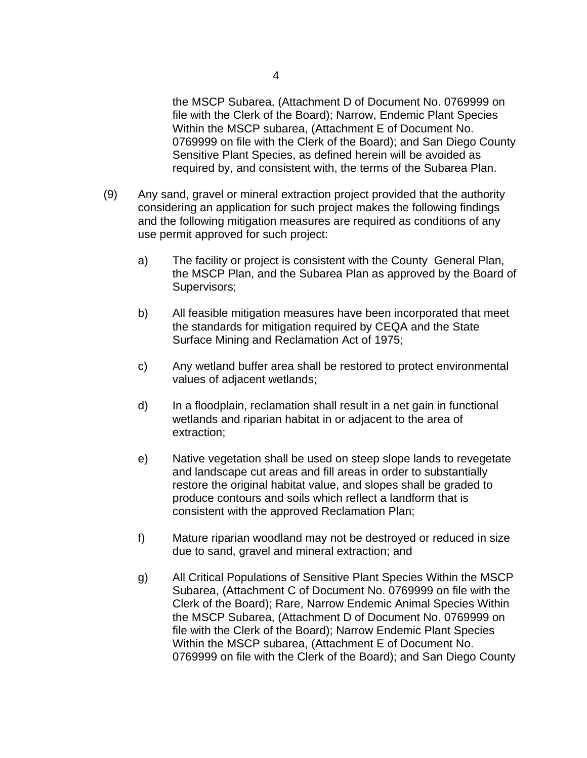the MSCP Subarea, (Attachment D of Document No. 0769999 on file with the Clerk of the Board); Narrow, Endemic Plant Species Within the MSCP subarea, (Attachment E of Document No. 0769999 on file with the Clerk of the Board); and San Diego County Sensitive Plant Species, as defined herein will be avoided as required by, and consistent with, the terms of the Subarea Plan.

- (9) Any sand, gravel or mineral extraction project provided that the authority considering an application for such project makes the following findings and the following mitigation measures are required as conditions of any use permit approved for such project:
	- a) The facility or project is consistent with the County General Plan, the MSCP Plan, and the Subarea Plan as approved by the Board of Supervisors;
	- b) All feasible mitigation measures have been incorporated that meet the standards for mitigation required by CEQA and the State Surface Mining and Reclamation Act of 1975;
	- c) Any wetland buffer area shall be restored to protect environmental values of adjacent wetlands;
	- d) In a floodplain, reclamation shall result in a net gain in functional wetlands and riparian habitat in or adjacent to the area of extraction;
	- e) Native vegetation shall be used on steep slope lands to revegetate and landscape cut areas and fill areas in order to substantially restore the original habitat value, and slopes shall be graded to produce contours and soils which reflect a landform that is consistent with the approved Reclamation Plan;
	- f) Mature riparian woodland may not be destroyed or reduced in size due to sand, gravel and mineral extraction; and
	- g) All Critical Populations of Sensitive Plant Species Within the MSCP Subarea, (Attachment C of Document No. 0769999 on file with the Clerk of the Board); Rare, Narrow Endemic Animal Species Within the MSCP Subarea, (Attachment D of Document No. 0769999 on file with the Clerk of the Board); Narrow Endemic Plant Species Within the MSCP subarea, (Attachment E of Document No. 0769999 on file with the Clerk of the Board); and San Diego County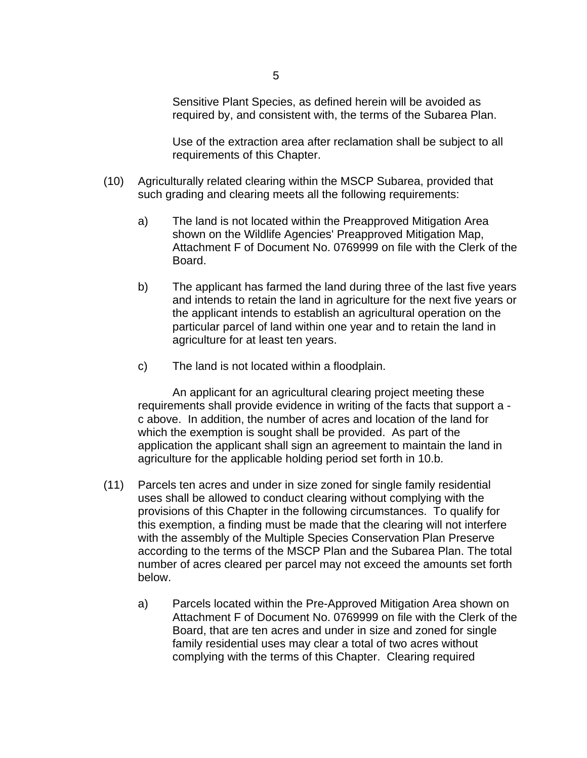Sensitive Plant Species, as defined herein will be avoided as required by, and consistent with, the terms of the Subarea Plan.

 Use of the extraction area after reclamation shall be subject to all requirements of this Chapter.

- (10) Agriculturally related clearing within the MSCP Subarea, provided that such grading and clearing meets all the following requirements:
	- a) The land is not located within the Preapproved Mitigation Area shown on the Wildlife Agencies' Preapproved Mitigation Map, Attachment F of Document No. 0769999 on file with the Clerk of the Board.
	- b) The applicant has farmed the land during three of the last five years and intends to retain the land in agriculture for the next five years or the applicant intends to establish an agricultural operation on the particular parcel of land within one year and to retain the land in agriculture for at least ten years.
	- c) The land is not located within a floodplain.

 An applicant for an agricultural clearing project meeting these requirements shall provide evidence in writing of the facts that support a c above. In addition, the number of acres and location of the land for which the exemption is sought shall be provided. As part of the application the applicant shall sign an agreement to maintain the land in agriculture for the applicable holding period set forth in 10.b.

- (11) Parcels ten acres and under in size zoned for single family residential uses shall be allowed to conduct clearing without complying with the provisions of this Chapter in the following circumstances. To qualify for this exemption, a finding must be made that the clearing will not interfere with the assembly of the Multiple Species Conservation Plan Preserve according to the terms of the MSCP Plan and the Subarea Plan. The total number of acres cleared per parcel may not exceed the amounts set forth below.
	- a) Parcels located within the Pre-Approved Mitigation Area shown on Attachment F of Document No. 0769999 on file with the Clerk of the Board, that are ten acres and under in size and zoned for single family residential uses may clear a total of two acres without complying with the terms of this Chapter. Clearing required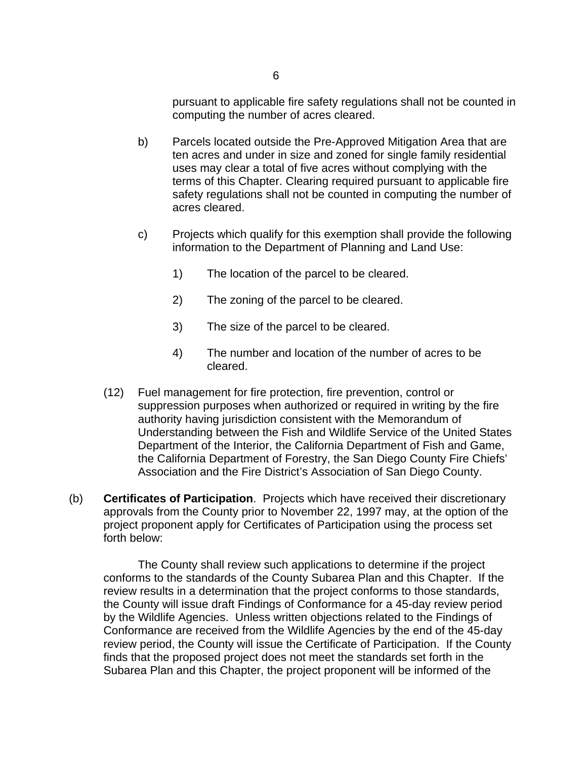pursuant to applicable fire safety regulations shall not be counted in computing the number of acres cleared.

- b) Parcels located outside the Pre-Approved Mitigation Area that are ten acres and under in size and zoned for single family residential uses may clear a total of five acres without complying with the terms of this Chapter. Clearing required pursuant to applicable fire safety regulations shall not be counted in computing the number of acres cleared.
- c) Projects which qualify for this exemption shall provide the following information to the Department of Planning and Land Use:
	- 1) The location of the parcel to be cleared.
	- 2) The zoning of the parcel to be cleared.
	- 3) The size of the parcel to be cleared.
	- 4) The number and location of the number of acres to be cleared.
- (12) Fuel management for fire protection, fire prevention, control or suppression purposes when authorized or required in writing by the fire authority having jurisdiction consistent with the Memorandum of Understanding between the Fish and Wildlife Service of the United States Department of the Interior, the California Department of Fish and Game, the California Department of Forestry, the San Diego County Fire Chiefs' Association and the Fire District's Association of San Diego County.
- (b) **Certificates of Participation**. Projects which have received their discretionary approvals from the County prior to November 22, 1997 may, at the option of the project proponent apply for Certificates of Participation using the process set forth below:

 The County shall review such applications to determine if the project conforms to the standards of the County Subarea Plan and this Chapter. If the review results in a determination that the project conforms to those standards, the County will issue draft Findings of Conformance for a 45-day review period by the Wildlife Agencies. Unless written objections related to the Findings of Conformance are received from the Wildlife Agencies by the end of the 45-day review period, the County will issue the Certificate of Participation. If the County finds that the proposed project does not meet the standards set forth in the Subarea Plan and this Chapter, the project proponent will be informed of the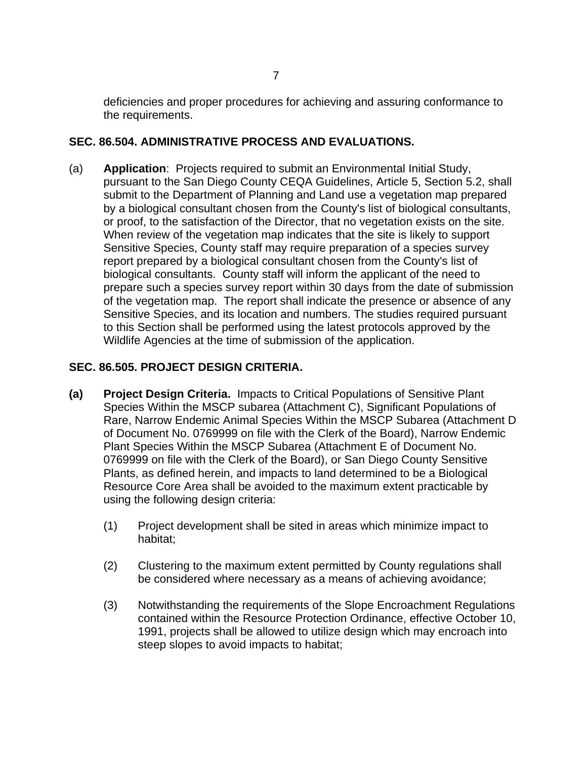deficiencies and proper procedures for achieving and assuring conformance to the requirements.

# **SEC. 86.504. ADMINISTRATIVE PROCESS AND EVALUATIONS.**

(a) **Application**: Projects required to submit an Environmental Initial Study, pursuant to the San Diego County CEQA Guidelines, Article 5, Section 5.2, shall submit to the Department of Planning and Land use a vegetation map prepared by a biological consultant chosen from the County's list of biological consultants, or proof, to the satisfaction of the Director, that no vegetation exists on the site. When review of the vegetation map indicates that the site is likely to support Sensitive Species, County staff may require preparation of a species survey report prepared by a biological consultant chosen from the County's list of biological consultants. County staff will inform the applicant of the need to prepare such a species survey report within 30 days from the date of submission of the vegetation map. The report shall indicate the presence or absence of any Sensitive Species, and its location and numbers. The studies required pursuant to this Section shall be performed using the latest protocols approved by the Wildlife Agencies at the time of submission of the application.

# **SEC. 86.505. PROJECT DESIGN CRITERIA.**

- **(a) Project Design Criteria.** Impacts to Critical Populations of Sensitive Plant Species Within the MSCP subarea (Attachment C), Significant Populations of Rare, Narrow Endemic Animal Species Within the MSCP Subarea (Attachment D of Document No. 0769999 on file with the Clerk of the Board), Narrow Endemic Plant Species Within the MSCP Subarea (Attachment E of Document No. 0769999 on file with the Clerk of the Board), or San Diego County Sensitive Plants, as defined herein, and impacts to land determined to be a Biological Resource Core Area shall be avoided to the maximum extent practicable by using the following design criteria:
	- (1) Project development shall be sited in areas which minimize impact to habitat;
	- (2) Clustering to the maximum extent permitted by County regulations shall be considered where necessary as a means of achieving avoidance;
	- (3) Notwithstanding the requirements of the Slope Encroachment Regulations contained within the Resource Protection Ordinance, effective October 10, 1991, projects shall be allowed to utilize design which may encroach into steep slopes to avoid impacts to habitat;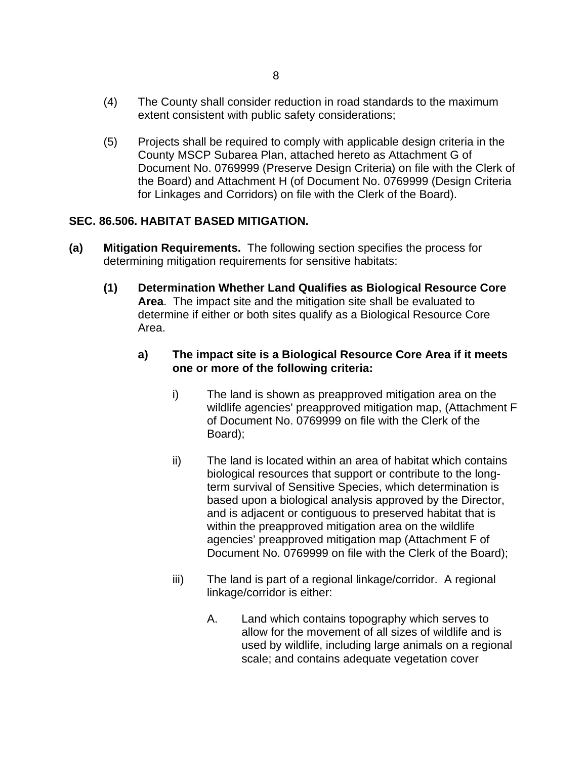- (4) The County shall consider reduction in road standards to the maximum extent consistent with public safety considerations;
- (5) Projects shall be required to comply with applicable design criteria in the County MSCP Subarea Plan, attached hereto as Attachment G of Document No. 0769999 (Preserve Design Criteria) on file with the Clerk of the Board) and Attachment H (of Document No. 0769999 (Design Criteria for Linkages and Corridors) on file with the Clerk of the Board).

# **SEC. 86.506. HABITAT BASED MITIGATION.**

- **(a) Mitigation Requirements.** The following section specifies the process for determining mitigation requirements for sensitive habitats:
	- **(1) Determination Whether Land Qualifies as Biological Resource Core Area**. The impact site and the mitigation site shall be evaluated to determine if either or both sites qualify as a Biological Resource Core Area.

# **a) The impact site is a Biological Resource Core Area if it meets one or more of the following criteria:**

- i) The land is shown as preapproved mitigation area on the wildlife agencies' preapproved mitigation map, (Attachment F of Document No. 0769999 on file with the Clerk of the Board);
- ii) The land is located within an area of habitat which contains biological resources that support or contribute to the longterm survival of Sensitive Species, which determination is based upon a biological analysis approved by the Director, and is adjacent or contiguous to preserved habitat that is within the preapproved mitigation area on the wildlife agencies' preapproved mitigation map (Attachment F of Document No. 0769999 on file with the Clerk of the Board);
- iii) The land is part of a regional linkage/corridor. A regional linkage/corridor is either:
	- A. Land which contains topography which serves to allow for the movement of all sizes of wildlife and is used by wildlife, including large animals on a regional scale; and contains adequate vegetation cover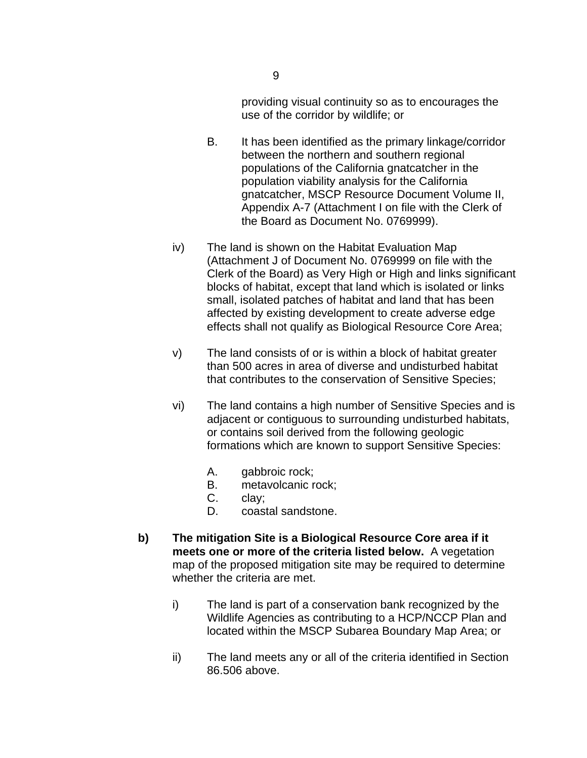providing visual continuity so as to encourages the use of the corridor by wildlife; or

- B. It has been identified as the primary linkage/corridor between the northern and southern regional populations of the California gnatcatcher in the population viability analysis for the California gnatcatcher, MSCP Resource Document Volume II, Appendix A-7 (Attachment I on file with the Clerk of the Board as Document No. 0769999).
- iv) The land is shown on the Habitat Evaluation Map (Attachment J of Document No. 0769999 on file with the Clerk of the Board) as Very High or High and links significant blocks of habitat, except that land which is isolated or links small, isolated patches of habitat and land that has been affected by existing development to create adverse edge effects shall not qualify as Biological Resource Core Area;
- v) The land consists of or is within a block of habitat greater than 500 acres in area of diverse and undisturbed habitat that contributes to the conservation of Sensitive Species;
- vi) The land contains a high number of Sensitive Species and is adjacent or contiguous to surrounding undisturbed habitats, or contains soil derived from the following geologic formations which are known to support Sensitive Species:
	- A. gabbroic rock;
	- B. metavolcanic rock;
	- C. clay;
	- D. coastal sandstone.
- **b) The mitigation Site is a Biological Resource Core area if it meets one or more of the criteria listed below.** A vegetation map of the proposed mitigation site may be required to determine whether the criteria are met.
	- i) The land is part of a conservation bank recognized by the Wildlife Agencies as contributing to a HCP/NCCP Plan and located within the MSCP Subarea Boundary Map Area; or
	- ii) The land meets any or all of the criteria identified in Section 86.506 above.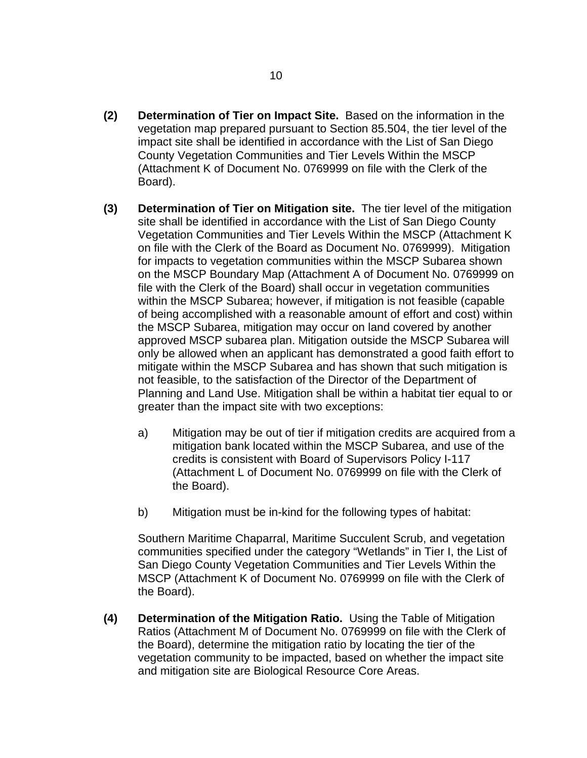- **(2) Determination of Tier on Impact Site.** Based on the information in the vegetation map prepared pursuant to Section 85.504, the tier level of the impact site shall be identified in accordance with the List of San Diego County Vegetation Communities and Tier Levels Within the MSCP (Attachment K of Document No. 0769999 on file with the Clerk of the Board).
- **(3) Determination of Tier on Mitigation site.** The tier level of the mitigation site shall be identified in accordance with the List of San Diego County Vegetation Communities and Tier Levels Within the MSCP (Attachment K on file with the Clerk of the Board as Document No. 0769999). Mitigation for impacts to vegetation communities within the MSCP Subarea shown on the MSCP Boundary Map (Attachment A of Document No. 0769999 on file with the Clerk of the Board) shall occur in vegetation communities within the MSCP Subarea; however, if mitigation is not feasible (capable of being accomplished with a reasonable amount of effort and cost) within the MSCP Subarea, mitigation may occur on land covered by another approved MSCP subarea plan. Mitigation outside the MSCP Subarea will only be allowed when an applicant has demonstrated a good faith effort to mitigate within the MSCP Subarea and has shown that such mitigation is not feasible, to the satisfaction of the Director of the Department of Planning and Land Use. Mitigation shall be within a habitat tier equal to or greater than the impact site with two exceptions:
	- a) Mitigation may be out of tier if mitigation credits are acquired from a mitigation bank located within the MSCP Subarea, and use of the credits is consistent with Board of Supervisors Policy I-117 (Attachment L of Document No. 0769999 on file with the Clerk of the Board).
	- b) Mitigation must be in-kind for the following types of habitat:

Southern Maritime Chaparral, Maritime Succulent Scrub, and vegetation communities specified under the category "Wetlands" in Tier I, the List of San Diego County Vegetation Communities and Tier Levels Within the MSCP (Attachment K of Document No. 0769999 on file with the Clerk of the Board).

**(4) Determination of the Mitigation Ratio.** Using the Table of Mitigation Ratios (Attachment M of Document No. 0769999 on file with the Clerk of the Board), determine the mitigation ratio by locating the tier of the vegetation community to be impacted, based on whether the impact site and mitigation site are Biological Resource Core Areas.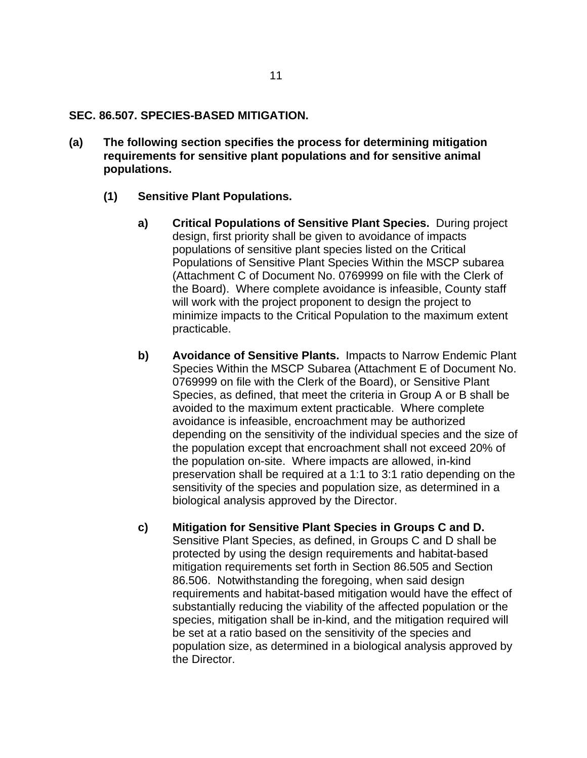#### **SEC. 86.507. SPECIES-BASED MITIGATION.**

- **(a) The following section specifies the process for determining mitigation requirements for sensitive plant populations and for sensitive animal populations.** 
	- **(1) Sensitive Plant Populations.** 
		- **a) Critical Populations of Sensitive Plant Species.** During project design, first priority shall be given to avoidance of impacts populations of sensitive plant species listed on the Critical Populations of Sensitive Plant Species Within the MSCP subarea (Attachment C of Document No. 0769999 on file with the Clerk of the Board). Where complete avoidance is infeasible, County staff will work with the project proponent to design the project to minimize impacts to the Critical Population to the maximum extent practicable.
		- **b) Avoidance of Sensitive Plants.** Impacts to Narrow Endemic Plant Species Within the MSCP Subarea (Attachment E of Document No. 0769999 on file with the Clerk of the Board), or Sensitive Plant Species, as defined, that meet the criteria in Group A or B shall be avoided to the maximum extent practicable. Where complete avoidance is infeasible, encroachment may be authorized depending on the sensitivity of the individual species and the size of the population except that encroachment shall not exceed 20% of the population on-site. Where impacts are allowed, in-kind preservation shall be required at a 1:1 to 3:1 ratio depending on the sensitivity of the species and population size, as determined in a biological analysis approved by the Director.
		- **c) Mitigation for Sensitive Plant Species in Groups C and D.** Sensitive Plant Species, as defined, in Groups C and D shall be protected by using the design requirements and habitat-based mitigation requirements set forth in Section 86.505 and Section 86.506. Notwithstanding the foregoing, when said design requirements and habitat-based mitigation would have the effect of substantially reducing the viability of the affected population or the species, mitigation shall be in-kind, and the mitigation required will be set at a ratio based on the sensitivity of the species and population size, as determined in a biological analysis approved by the Director.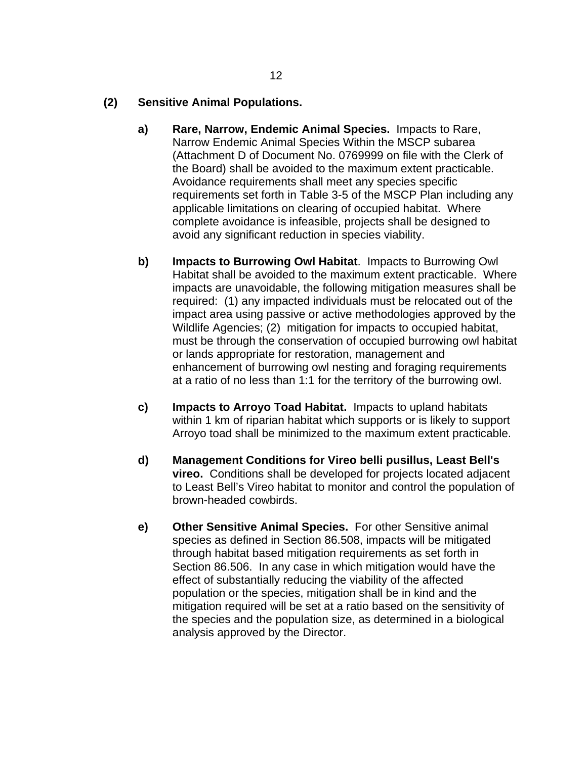# **(2) Sensitive Animal Populations.**

- **a) Rare, Narrow, Endemic Animal Species.** Impacts to Rare, Narrow Endemic Animal Species Within the MSCP subarea (Attachment D of Document No. 0769999 on file with the Clerk of the Board) shall be avoided to the maximum extent practicable. Avoidance requirements shall meet any species specific requirements set forth in Table 3-5 of the MSCP Plan including any applicable limitations on clearing of occupied habitat. Where complete avoidance is infeasible, projects shall be designed to avoid any significant reduction in species viability.
- **b) Impacts to Burrowing Owl Habitat**. Impacts to Burrowing Owl Habitat shall be avoided to the maximum extent practicable. Where impacts are unavoidable, the following mitigation measures shall be required: (1) any impacted individuals must be relocated out of the impact area using passive or active methodologies approved by the Wildlife Agencies; (2) mitigation for impacts to occupied habitat, must be through the conservation of occupied burrowing owl habitat or lands appropriate for restoration, management and enhancement of burrowing owl nesting and foraging requirements at a ratio of no less than 1:1 for the territory of the burrowing owl.
- **c) Impacts to Arroyo Toad Habitat.** Impacts to upland habitats within 1 km of riparian habitat which supports or is likely to support Arroyo toad shall be minimized to the maximum extent practicable.
- **d) Management Conditions for Vireo belli pusillus, Least Bell's vireo.** Conditions shall be developed for projects located adjacent to Least Bell's Vireo habitat to monitor and control the population of brown-headed cowbirds.
- **e) Other Sensitive Animal Species.** For other Sensitive animal species as defined in Section 86.508, impacts will be mitigated through habitat based mitigation requirements as set forth in Section 86.506. In any case in which mitigation would have the effect of substantially reducing the viability of the affected population or the species, mitigation shall be in kind and the mitigation required will be set at a ratio based on the sensitivity of the species and the population size, as determined in a biological analysis approved by the Director.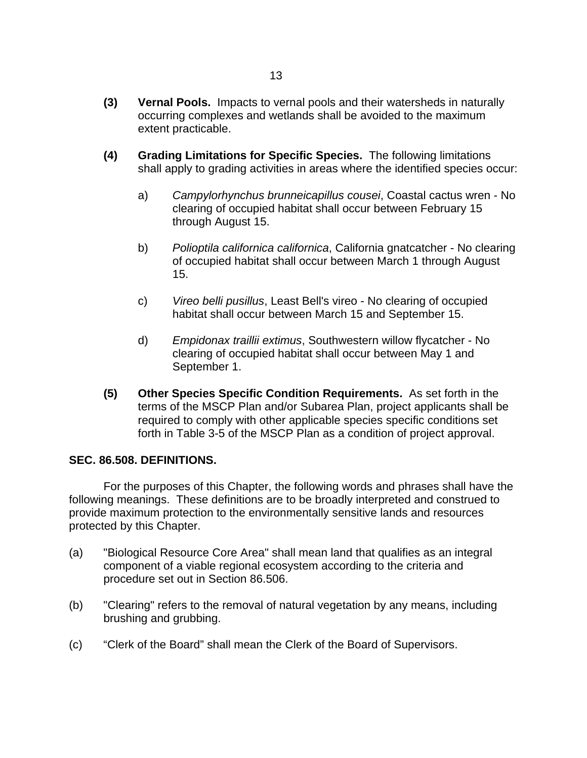- **(3) Vernal Pools.** Impacts to vernal pools and their watersheds in naturally occurring complexes and wetlands shall be avoided to the maximum extent practicable.
- **(4) Grading Limitations for Specific Species.** The following limitations shall apply to grading activities in areas where the identified species occur:
	- a) *Campylorhynchus brunneicapillus cousei*, Coastal cactus wren No clearing of occupied habitat shall occur between February 15 through August 15.
	- b) *Polioptila californica californica*, California gnatcatcher No clearing of occupied habitat shall occur between March 1 through August 15.
	- c) *Vireo belli pusillus*, Least Bell's vireo No clearing of occupied habitat shall occur between March 15 and September 15.
	- d) *Empidonax traillii extimus*, Southwestern willow flycatcher No clearing of occupied habitat shall occur between May 1 and September 1.
- **(5) Other Species Specific Condition Requirements.** As set forth in the terms of the MSCP Plan and/or Subarea Plan, project applicants shall be required to comply with other applicable species specific conditions set forth in Table 3-5 of the MSCP Plan as a condition of project approval.

# **SEC. 86.508. DEFINITIONS.**

 For the purposes of this Chapter, the following words and phrases shall have the following meanings. These definitions are to be broadly interpreted and construed to provide maximum protection to the environmentally sensitive lands and resources protected by this Chapter.

- (a) "Biological Resource Core Area" shall mean land that qualifies as an integral component of a viable regional ecosystem according to the criteria and procedure set out in Section 86.506.
- (b) "Clearing" refers to the removal of natural vegetation by any means, including brushing and grubbing.
- (c) "Clerk of the Board" shall mean the Clerk of the Board of Supervisors.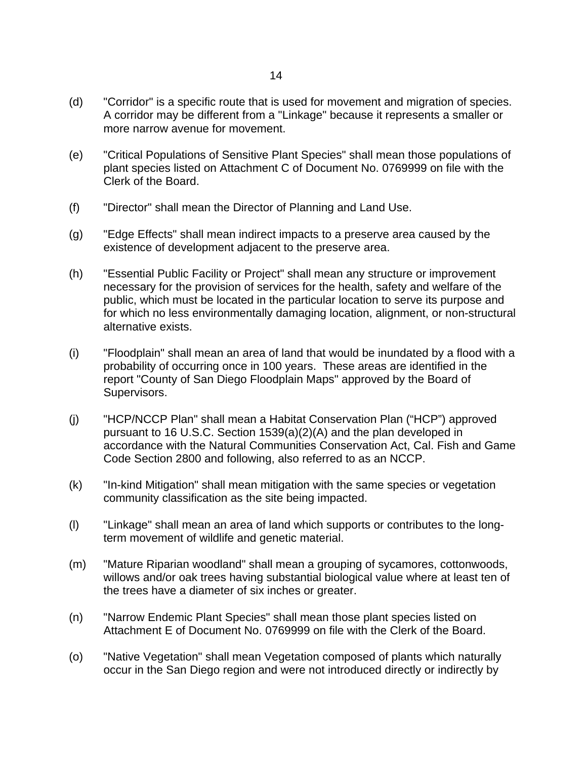- (d) "Corridor" is a specific route that is used for movement and migration of species. A corridor may be different from a "Linkage" because it represents a smaller or more narrow avenue for movement.
- (e) "Critical Populations of Sensitive Plant Species" shall mean those populations of plant species listed on Attachment C of Document No. 0769999 on file with the Clerk of the Board.
- (f) "Director" shall mean the Director of Planning and Land Use.
- (g) "Edge Effects" shall mean indirect impacts to a preserve area caused by the existence of development adjacent to the preserve area.
- (h) "Essential Public Facility or Project" shall mean any structure or improvement necessary for the provision of services for the health, safety and welfare of the public, which must be located in the particular location to serve its purpose and for which no less environmentally damaging location, alignment, or non-structural alternative exists.
- (i) "Floodplain" shall mean an area of land that would be inundated by a flood with a probability of occurring once in 100 years. These areas are identified in the report "County of San Diego Floodplain Maps" approved by the Board of Supervisors.
- (j) "HCP/NCCP Plan" shall mean a Habitat Conservation Plan ("HCP") approved pursuant to 16 U.S.C. Section 1539(a)(2)(A) and the plan developed in accordance with the Natural Communities Conservation Act, Cal. Fish and Game Code Section 2800 and following, also referred to as an NCCP.
- (k) "In-kind Mitigation" shall mean mitigation with the same species or vegetation community classification as the site being impacted.
- (l) "Linkage" shall mean an area of land which supports or contributes to the longterm movement of wildlife and genetic material.
- (m) "Mature Riparian woodland" shall mean a grouping of sycamores, cottonwoods, willows and/or oak trees having substantial biological value where at least ten of the trees have a diameter of six inches or greater.
- (n) "Narrow Endemic Plant Species" shall mean those plant species listed on Attachment E of Document No. 0769999 on file with the Clerk of the Board.
- (o) "Native Vegetation" shall mean Vegetation composed of plants which naturally occur in the San Diego region and were not introduced directly or indirectly by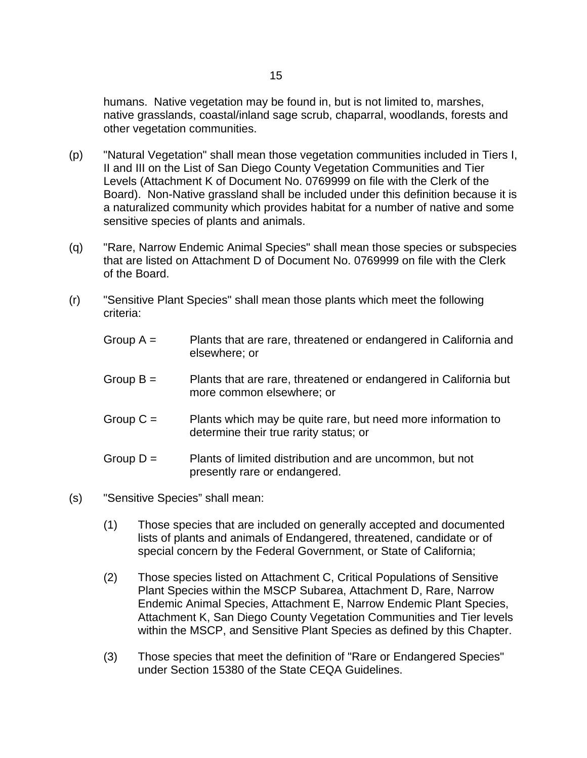humans. Native vegetation may be found in, but is not limited to, marshes, native grasslands, coastal/inland sage scrub, chaparral, woodlands, forests and other vegetation communities.

- (p) "Natural Vegetation" shall mean those vegetation communities included in Tiers I, II and III on the List of San Diego County Vegetation Communities and Tier Levels (Attachment K of Document No. 0769999 on file with the Clerk of the Board). Non-Native grassland shall be included under this definition because it is a naturalized community which provides habitat for a number of native and some sensitive species of plants and animals.
- (q) "Rare, Narrow Endemic Animal Species" shall mean those species or subspecies that are listed on Attachment D of Document No. 0769999 on file with the Clerk of the Board.
- (r) "Sensitive Plant Species" shall mean those plants which meet the following criteria:
	- Group  $A =$  Plants that are rare, threatened or endangered in California and elsewhere; or
	- Group B = Plants that are rare, threatened or endangered in California but more common elsewhere; or
	- Group  $C =$  Plants which may be quite rare, but need more information to determine their true rarity status; or
	- Group  $D =$  Plants of limited distribution and are uncommon, but not presently rare or endangered.
- (s) "Sensitive Species" shall mean:
	- (1) Those species that are included on generally accepted and documented lists of plants and animals of Endangered, threatened, candidate or of special concern by the Federal Government, or State of California;
	- (2) Those species listed on Attachment C, Critical Populations of Sensitive Plant Species within the MSCP Subarea, Attachment D, Rare, Narrow Endemic Animal Species, Attachment E, Narrow Endemic Plant Species, Attachment K, San Diego County Vegetation Communities and Tier levels within the MSCP, and Sensitive Plant Species as defined by this Chapter.
	- (3) Those species that meet the definition of "Rare or Endangered Species" under Section 15380 of the State CEQA Guidelines.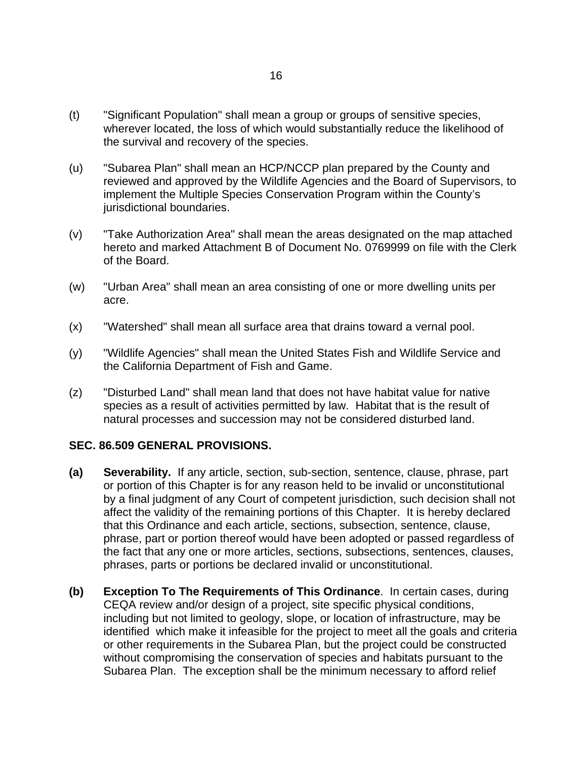- (t) "Significant Population" shall mean a group or groups of sensitive species, wherever located, the loss of which would substantially reduce the likelihood of the survival and recovery of the species.
- (u) "Subarea Plan" shall mean an HCP/NCCP plan prepared by the County and reviewed and approved by the Wildlife Agencies and the Board of Supervisors, to implement the Multiple Species Conservation Program within the County's jurisdictional boundaries.
- (v) "Take Authorization Area" shall mean the areas designated on the map attached hereto and marked Attachment B of Document No. 0769999 on file with the Clerk of the Board.
- (w) "Urban Area" shall mean an area consisting of one or more dwelling units per acre.
- (x) "Watershed" shall mean all surface area that drains toward a vernal pool.
- (y) "Wildlife Agencies" shall mean the United States Fish and Wildlife Service and the California Department of Fish and Game.
- (z) "Disturbed Land" shall mean land that does not have habitat value for native species as a result of activities permitted by law. Habitat that is the result of natural processes and succession may not be considered disturbed land.

#### **SEC. 86.509 GENERAL PROVISIONS.**

- **(a) Severability.** If any article, section, sub-section, sentence, clause, phrase, part or portion of this Chapter is for any reason held to be invalid or unconstitutional by a final judgment of any Court of competent jurisdiction, such decision shall not affect the validity of the remaining portions of this Chapter. It is hereby declared that this Ordinance and each article, sections, subsection, sentence, clause, phrase, part or portion thereof would have been adopted or passed regardless of the fact that any one or more articles, sections, subsections, sentences, clauses, phrases, parts or portions be declared invalid or unconstitutional.
- **(b) Exception To The Requirements of This Ordinance**. In certain cases, during CEQA review and/or design of a project, site specific physical conditions, including but not limited to geology, slope, or location of infrastructure, may be identified which make it infeasible for the project to meet all the goals and criteria or other requirements in the Subarea Plan, but the project could be constructed without compromising the conservation of species and habitats pursuant to the Subarea Plan. The exception shall be the minimum necessary to afford relief